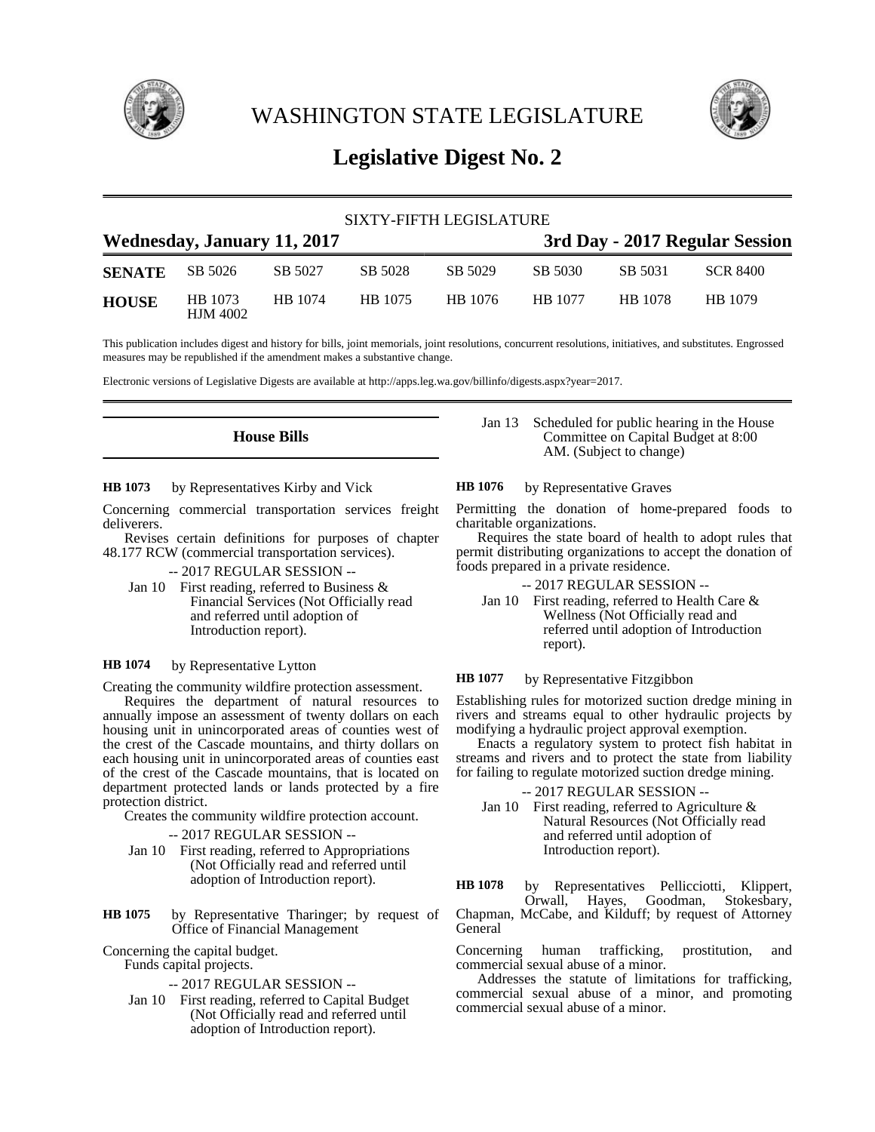

WASHINGTON STATE LEGISLATURE



# **Legislative Digest No. 2**

| SIXTY-FIFTH LEGISLATURE            |                            |         |         |         |                                |         |          |
|------------------------------------|----------------------------|---------|---------|---------|--------------------------------|---------|----------|
| <b>Wednesday, January 11, 2017</b> |                            |         |         |         | 3rd Day - 2017 Regular Session |         |          |
| <b>SENATE</b>                      | SB 5026                    | SB 5027 | SB 5028 | SB 5029 | SB 5030                        | SB 5031 | SCR 8400 |
| <b>HOUSE</b>                       | HB 1073<br><b>HJM 4002</b> | HB 1074 | HB 1075 | HB 1076 | HB 1077                        | HB 1078 | HB 1079  |

This publication includes digest and history for bills, joint memorials, joint resolutions, concurrent resolutions, initiatives, and substitutes. Engrossed measures may be republished if the amendment makes a substantive change.

Electronic versions of Legislative Digests are available at http://apps.leg.wa.gov/billinfo/digests.aspx?year=2017.

**House Bills**

by Representatives Kirby and Vick **HB 1073**

Concerning commercial transportation services freight deliverers.

- Revises certain definitions for purposes of chapter 48.177 RCW (commercial transportation services).
	- -- 2017 REGULAR SESSION --
	- Jan 10 First reading, referred to Business & Financial Services (Not Officially read and referred until adoption of Introduction report).

#### by Representative Lytton **HB 1074**

Creating the community wildfire protection assessment.

Requires the department of natural resources to annually impose an assessment of twenty dollars on each housing unit in unincorporated areas of counties west of the crest of the Cascade mountains, and thirty dollars on each housing unit in unincorporated areas of counties east of the crest of the Cascade mountains, that is located on department protected lands or lands protected by a fire protection district.

Creates the community wildfire protection account.

-- 2017 REGULAR SESSION --

Jan 10 First reading, referred to Appropriations (Not Officially read and referred until adoption of Introduction report).

by Representative Tharinger; by request of Office of Financial Management **HB 1075**

Concerning the capital budget.

Funds capital projects.

- -- 2017 REGULAR SESSION --
- Jan 10 First reading, referred to Capital Budget (Not Officially read and referred until adoption of Introduction report).

Jan 13 Scheduled for public hearing in the House Committee on Capital Budget at 8:00 AM. (Subject to change)

by Representative Graves **HB 1076**

Permitting the donation of home-prepared foods to charitable organizations.

Requires the state board of health to adopt rules that permit distributing organizations to accept the donation of foods prepared in a private residence.

- -- 2017 REGULAR SESSION --
- Jan 10 First reading, referred to Health Care & Wellness (Not Officially read and referred until adoption of Introduction report).

by Representative Fitzgibbon **HB 1077**

Establishing rules for motorized suction dredge mining in rivers and streams equal to other hydraulic projects by modifying a hydraulic project approval exemption.

Enacts a regulatory system to protect fish habitat in streams and rivers and to protect the state from liability for failing to regulate motorized suction dredge mining.

-- 2017 REGULAR SESSION --

Jan 10 First reading, referred to Agriculture & Natural Resources (Not Officially read and referred until adoption of Introduction report).

by Representatives Pellicciotti, Klippert,<br>Orwall, Hayes, Goodman, Stokesbary, Hayes, Goodman, Stokesbary, Chapman, McCabe, and Kilduff; by request of Attorney **General HB 1078**

Concerning human trafficking, prostitution, and commercial sexual abuse of a minor.

Addresses the statute of limitations for trafficking, commercial sexual abuse of a minor, and promoting commercial sexual abuse of a minor.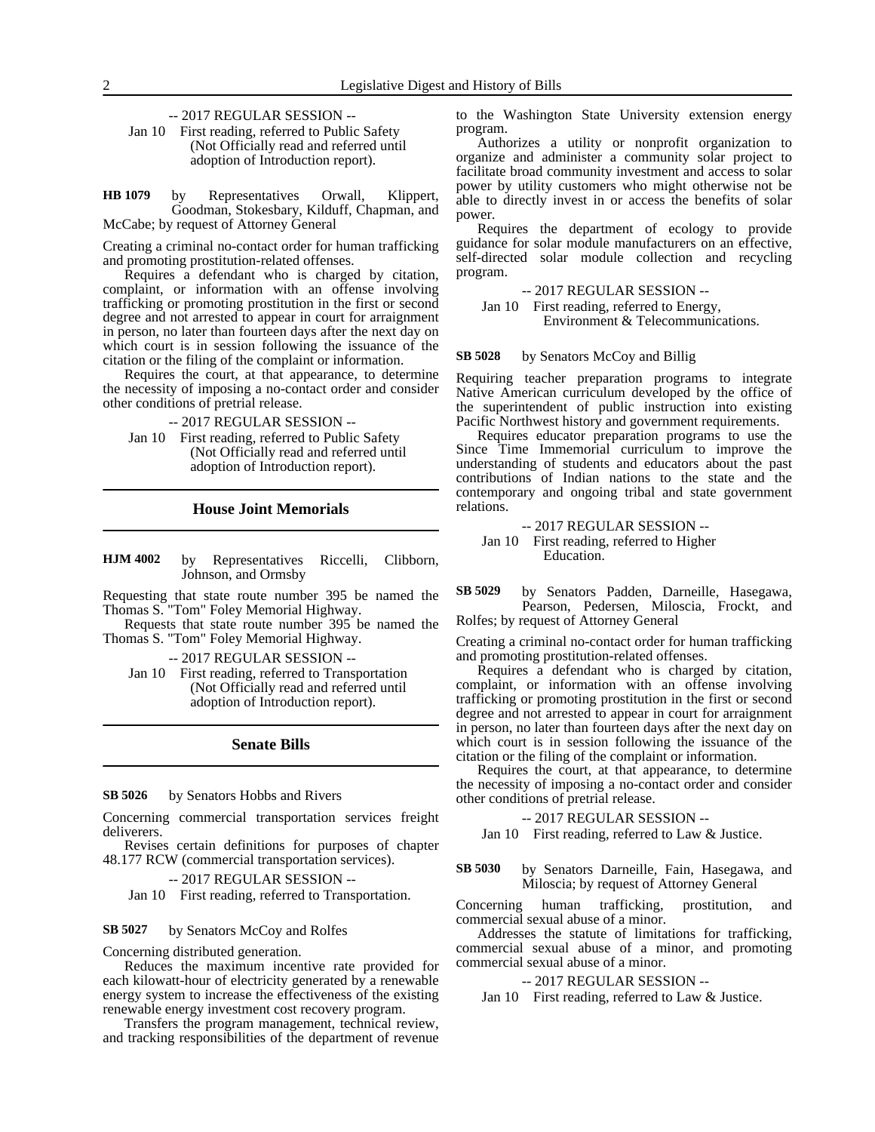-- 2017 REGULAR SESSION --

Jan 10 First reading, referred to Public Safety (Not Officially read and referred until adoption of Introduction report).

by Representatives Orwall, Klippert, Goodman, Stokesbary, Kilduff, Chapman, and McCabe; by request of Attorney General **HB 1079**

Creating a criminal no-contact order for human trafficking and promoting prostitution-related offenses.

Requires a defendant who is charged by citation, complaint, or information with an offense involving trafficking or promoting prostitution in the first or second degree and not arrested to appear in court for arraignment in person, no later than fourteen days after the next day on which court is in session following the issuance of the citation or the filing of the complaint or information.

Requires the court, at that appearance, to determine the necessity of imposing a no-contact order and consider other conditions of pretrial release.

-- 2017 REGULAR SESSION --

Jan 10 First reading, referred to Public Safety (Not Officially read and referred until adoption of Introduction report).

## **House Joint Memorials**

by Representatives Riccelli, Clibborn, Johnson, and Ormsby **HJM 4002**

Requesting that state route number 395 be named the Thomas S. "Tom" Foley Memorial Highway.

Requests that state route number 395 be named the Thomas S. "Tom" Foley Memorial Highway.

-- 2017 REGULAR SESSION --

Jan 10 First reading, referred to Transportation (Not Officially read and referred until adoption of Introduction report).

### **Senate Bills**

#### by Senators Hobbs and Rivers **SB 5026**

Concerning commercial transportation services freight deliverers.

Revises certain definitions for purposes of chapter 48.177 RCW (commercial transportation services).

-- 2017 REGULAR SESSION --

Jan 10 First reading, referred to Transportation.

#### by Senators McCoy and Rolfes **SB 5027**

Concerning distributed generation.

Reduces the maximum incentive rate provided for each kilowatt-hour of electricity generated by a renewable energy system to increase the effectiveness of the existing renewable energy investment cost recovery program.

Transfers the program management, technical review, and tracking responsibilities of the department of revenue to the Washington State University extension energy program.

Authorizes a utility or nonprofit organization to organize and administer a community solar project to facilitate broad community investment and access to solar power by utility customers who might otherwise not be able to directly invest in or access the benefits of solar power.

Requires the department of ecology to provide guidance for solar module manufacturers on an effective, self-directed solar module collection and recycling program.

-- 2017 REGULAR SESSION -- Jan 10 First reading, referred to Energy,

Environment & Telecommunications.

by Senators McCoy and Billig **SB 5028**

Requiring teacher preparation programs to integrate Native American curriculum developed by the office of the superintendent of public instruction into existing Pacific Northwest history and government requirements.

Requires educator preparation programs to use the Since Time Immemorial curriculum to improve the understanding of students and educators about the past contributions of Indian nations to the state and the contemporary and ongoing tribal and state government relations.

-- 2017 REGULAR SESSION -- Jan 10 First reading, referred to Higher Education.

by Senators Padden, Darneille, Hasegawa, Pearson, Pedersen, Miloscia, Frockt, and Rolfes; by request of Attorney General **SB 5029**

Creating a criminal no-contact order for human trafficking and promoting prostitution-related offenses.

Requires a defendant who is charged by citation, complaint, or information with an offense involving trafficking or promoting prostitution in the first or second degree and not arrested to appear in court for arraignment in person, no later than fourteen days after the next day on which court is in session following the issuance of the citation or the filing of the complaint or information.

Requires the court, at that appearance, to determine the necessity of imposing a no-contact order and consider other conditions of pretrial release.

-- 2017 REGULAR SESSION --

Jan 10 First reading, referred to Law & Justice.

by Senators Darneille, Fain, Hasegawa, and Miloscia; by request of Attorney General **SB 5030**

Concerning human trafficking, prostitution, and commercial sexual abuse of a minor.

Addresses the statute of limitations for trafficking, commercial sexual abuse of a minor, and promoting commercial sexual abuse of a minor.

### -- 2017 REGULAR SESSION --

Jan 10 First reading, referred to Law & Justice.